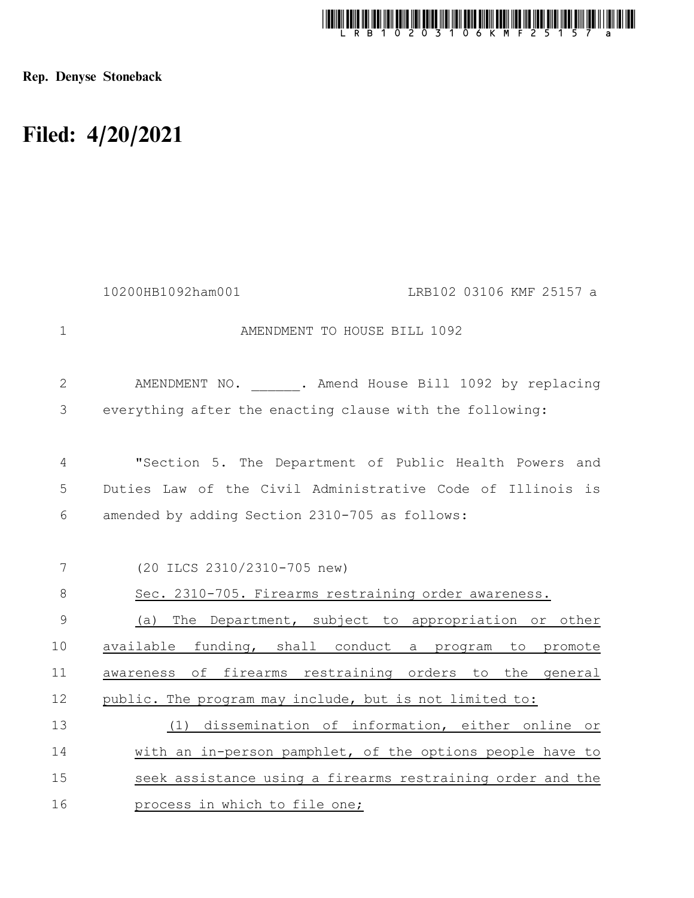

Rep. Denyse Stoneback

## Filed: 4/20/2021

| 10200HB1092ham001<br>LRB102 03106 KMF 25157 a              |
|------------------------------------------------------------|
| AMENDMENT TO HOUSE BILL 1092                               |
| AMENDMENT NO. . Amend House Bill 1092 by replacing         |
| everything after the enacting clause with the following:   |
| "Section 5. The Department of Public Health Powers and     |
| Duties Law of the Civil Administrative Code of Illinois is |
| amended by adding Section 2310-705 as follows:             |
|                                                            |
| (20 ILCS 2310/2310-705 new)                                |
| Sec. 2310-705. Firearms restraining order awareness.       |
| (a) The Department, subject to appropriation or other      |
| available funding, shall conduct a program to promote      |
| awareness of firearms restraining orders to the general    |
| public. The program may include, but is not limited to:    |
| dissemination of information, either online or<br>(1)      |
| with an in-person pamphlet, of the options people have to  |
| seek assistance using a firearms restraining order and the |
| process in which to file one;                              |
|                                                            |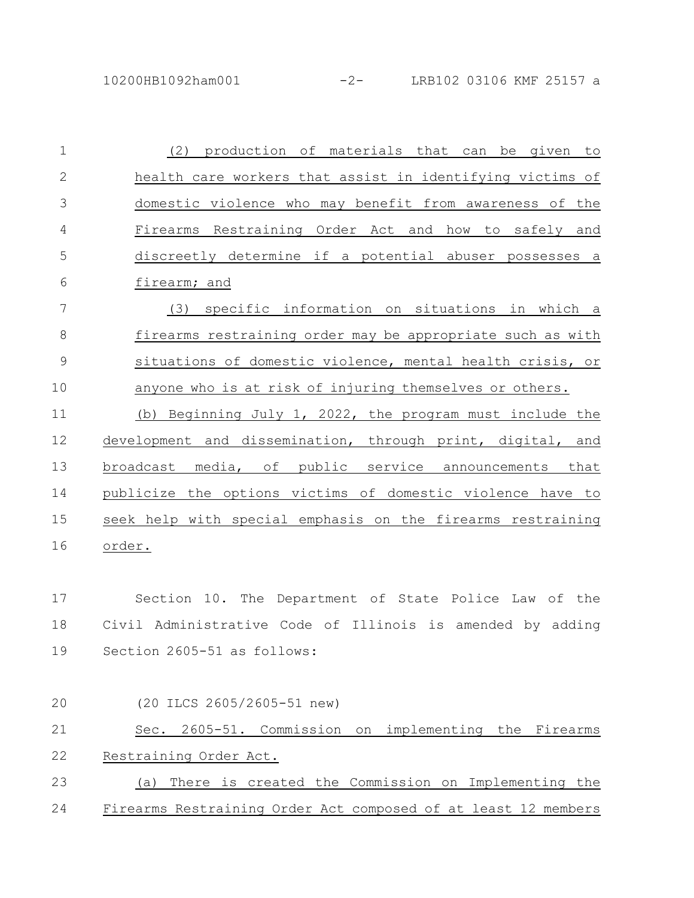| $\mathbf 1$    | (2) production of materials that can be given<br>to            |
|----------------|----------------------------------------------------------------|
| $\overline{2}$ | health care workers that assist in identifying victims of      |
| 3              | domestic violence who may benefit from awareness of the        |
| 4              | Firearms Restraining Order Act and how to safely and           |
| 5              | discreetly determine if a potential abuser possesses a         |
| 6              | firearm; and                                                   |
| 7              | specific information on situations in which a<br>(3)           |
| 8              | firearms restraining order may be appropriate such as with     |
| $\mathsf 9$    | situations of domestic violence, mental health crisis, or      |
| 10             | anyone who is at risk of injuring themselves or others.        |
| 11             | (b) Beginning July 1, 2022, the program must include the       |
| 12             | development and dissemination, through print, digital, and     |
| 13             | broadcast media, of public service announcements that          |
| 14             | publicize the options victims of domestic violence have to     |
| 15             | seek help with special emphasis on the firearms restraining    |
| 16             | order.                                                         |
|                |                                                                |
| 17             | Section 10. The Department of State Police Law of the          |
| 18             | Civil Administrative Code of Illinois is amended by adding     |
| 19             | Section 2605-51 as follows:                                    |
|                |                                                                |
| 20             | (20 ILCS 2605/2605-51 new)                                     |
| 21             | Sec. 2605-51. Commission<br>implementing the<br>Firearms<br>on |
| 22             | Restraining Order Act.                                         |
| 23             | There is created the Commission on Implementing the<br>(a)     |
| 24             | Firearms Restraining Order Act composed of at least 12 members |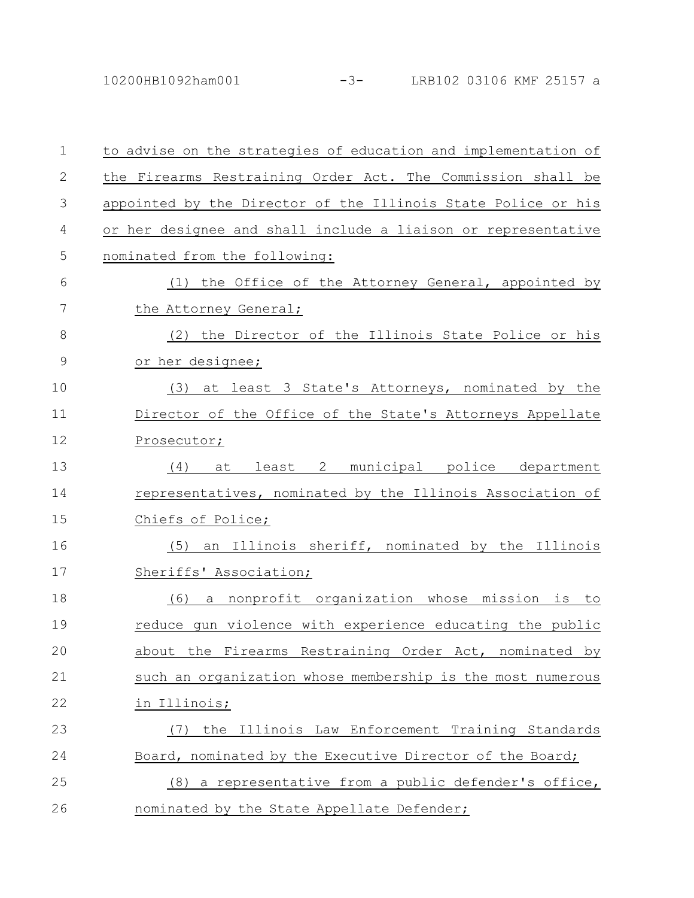10200HB1092ham001 -3- LRB102 03106 KMF 25157 a

| $\mathbf{1}$ | to advise on the strategies of education and implementation of        |
|--------------|-----------------------------------------------------------------------|
| $\mathbf{2}$ | the Firearms Restraining Order Act. The Commission shall be           |
| 3            | appointed by the Director of the Illinois State Police or his         |
| 4            | or her designee and shall include a liaison or representative         |
| 5            | nominated from the following:                                         |
| 6            | (1) the Office of the Attorney General, appointed by                  |
| 7            | the Attorney General;                                                 |
| 8            | (2) the Director of the Illinois State Police or his                  |
| 9            | or her designee;                                                      |
| 10           | (3) at least 3 State's Attorneys, nominated by the                    |
| 11           | Director of the Office of the State's Attorneys Appellate             |
| 12           | Prosecutor;                                                           |
| 13           | at least 2 municipal police department<br>(4)                         |
| 14           | representatives, nominated by the Illinois Association of             |
| 15           | Chiefs of Police;                                                     |
| 16           | an Illinois sheriff, nominated by the Illinois<br>(5)                 |
| 17           | Sheriffs' Association;                                                |
| 18           | a nonprofit organization whose mission is to<br>(6)                   |
| 19           | reduce qun violence with experience educating the public              |
| 20           | Restraining<br>about<br>the<br>Firearms<br>Order Act,<br>nominated by |
| 21           | such an organization whose membership is the most numerous            |
| 22           | in Illinois;                                                          |
| 23           | the Illinois Law Enforcement Training Standards<br>(7)                |
| 24           | Board, nominated by the Executive Director of the Board;              |
| 25           | (8) a representative from a public defender's office,                 |
| 26           | nominated by the State Appellate Defender;                            |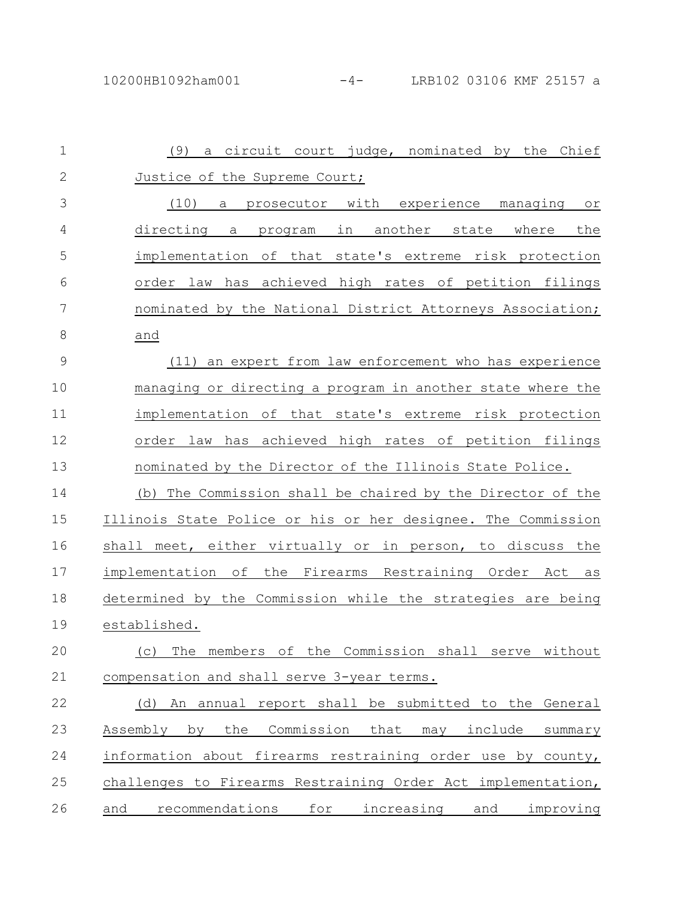| $\mathbf{1}$  | a circuit court judge, nominated by the Chief<br>(9)               |
|---------------|--------------------------------------------------------------------|
| $\mathbf{2}$  | Justice of the Supreme Court;                                      |
| 3             | (10)<br>prosecutor with experience managing<br>a<br>O <sub>T</sub> |
| 4             | directing a<br>program in another state<br>where<br>the            |
| 5             | implementation of that state's extreme risk protection             |
| 6             | order law has achieved high rates of petition filings              |
| 7             | nominated by the National District Attorneys Association;          |
| 8             | and                                                                |
| $\mathcal{G}$ | (11) an expert from law enforcement who has experience             |
| 10            | managing or directing a program in another state where the         |
| 11            | implementation of that state's extreme risk protection             |
| 12            | law has achieved high rates of petition filings<br>order           |
| 13            | nominated by the Director of the Illinois State Police.            |
| 14            | The Commission shall be chaired by the Director of the<br>(b)      |
| 15            | Illinois State Police or his or her designee. The Commission       |
| 16            | shall meet, either virtually or in person, to discuss the          |
| 17            | implementation of the Firearms Restraining Order Act<br>as         |
| 18            | determined by the Commission while the strategies are being        |
| 19            | established.                                                       |
| 20            | (c) The members of the Commission shall<br>without<br>serve        |
| 21            | compensation and shall serve 3-year terms.                         |
| 22            | (d) An annual report shall be submitted to the General             |
| 23            | Commission<br>Assembly by<br>the<br>that<br>may include<br>summary |
| 24            | information about firearms restraining order use by county,        |
| 25            | challenges to Firearms Restraining Order Act implementation,       |
| 26            | recommendations for increasing and improving<br>and                |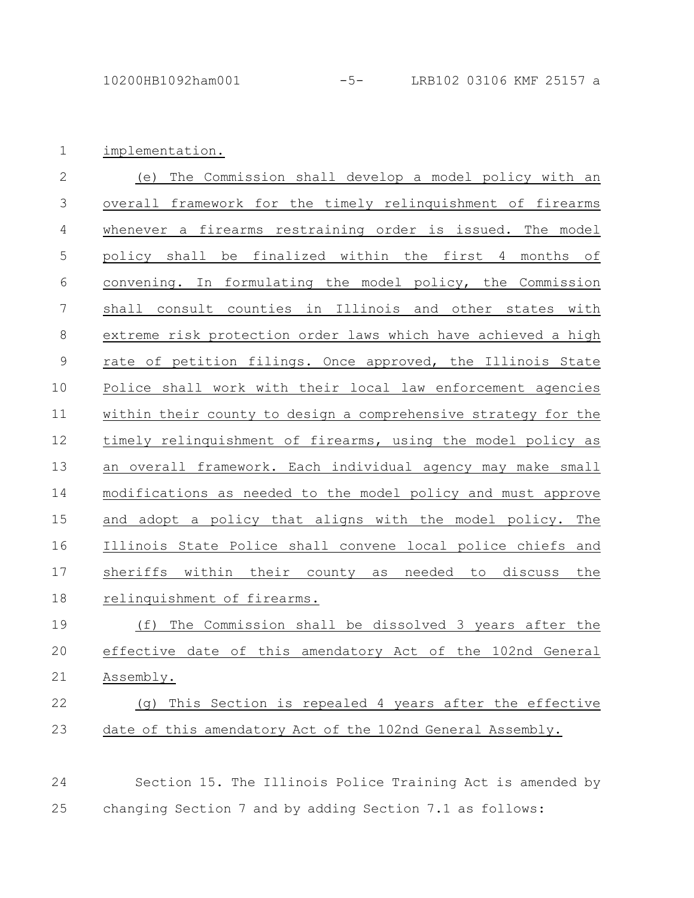implementation. 1

| $\overline{2}$ | The Commission shall develop a model policy with an<br>(e)     |
|----------------|----------------------------------------------------------------|
| 3              | overall framework for the timely relinquishment of firearms    |
| $\overline{4}$ | whenever a firearms restraining order is issued. The model     |
| 5              | policy shall be finalized within the first 4 months of         |
| $6\,$          | convening. In formulating the model policy, the Commission     |
| $\overline{7}$ | shall consult counties in Illinois and other states with       |
| $8\,$          | extreme risk protection order laws which have achieved a high  |
| $\mathcal{G}$  | rate of petition filings. Once approved, the Illinois State    |
| 10             | Police shall work with their local law enforcement agencies    |
| 11             | within their county to design a comprehensive strategy for the |
| 12             | timely relinquishment of firearms, using the model policy as   |
| 13             | an overall framework. Each individual agency may make small    |
| 14             | modifications as needed to the model policy and must approve   |
| 15             | and adopt a policy that aligns with the model policy. The      |
| 16             | Illinois State Police shall convene local police chiefs and    |
| 17             | sheriffs within their county as needed to discuss the          |
| 18             | relinquishment of firearms.                                    |
| 19             | The Commission shall be dissolved 3 years after the<br>(f)     |

effective date of this amendatory Act of the 102nd General Assembly. 20 21

## (g) This Section is repealed 4 years after the effective date of this amendatory Act of the 102nd General Assembly. 22 23

Section 15. The Illinois Police Training Act is amended by changing Section 7 and by adding Section 7.1 as follows: 24 25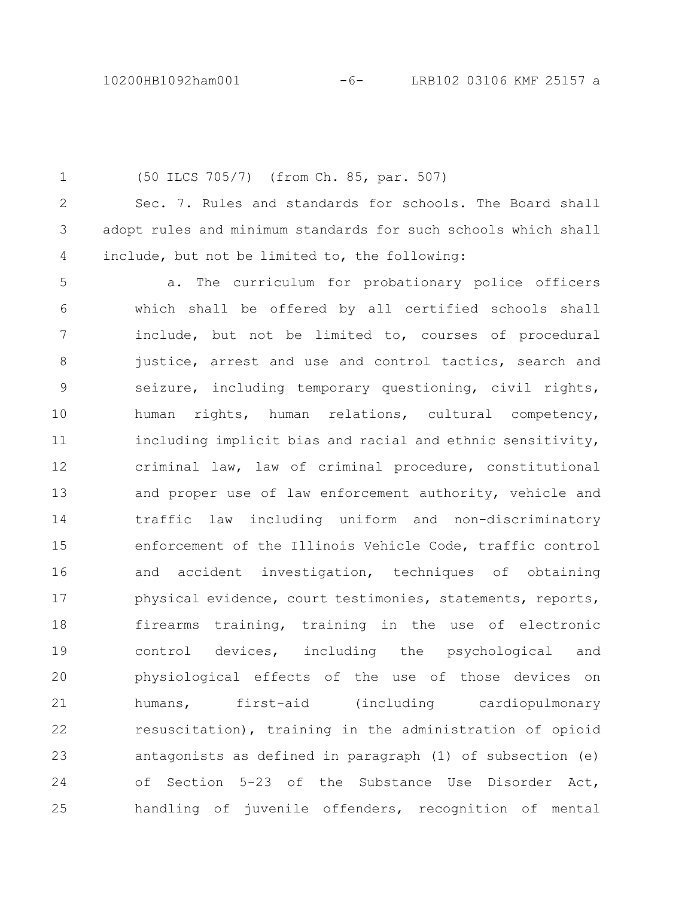(50 ILCS 705/7) (from Ch. 85, par. 507) Sec. 7. Rules and standards for schools. The Board shall adopt rules and minimum standards for such schools which shall include, but not be limited to, the following: a. The curriculum for probationary police officers which shall be offered by all certified schools shall include, but not be limited to, courses of procedural justice, arrest and use and control tactics, search and seizure, including temporary questioning, civil rights, human rights, human relations, cultural competency, including implicit bias and racial and ethnic sensitivity, criminal law, law of criminal procedure, constitutional and proper use of law enforcement authority, vehicle and traffic law including uniform and non-discriminatory enforcement of the Illinois Vehicle Code, traffic control and accident investigation, techniques of obtaining physical evidence, court testimonies, statements, reports, firearms training, training in the use of electronic control devices, including the psychological and physiological effects of the use of those devices on humans, first-aid (including cardiopulmonary resuscitation), training in the administration of opioid antagonists as defined in paragraph (1) of subsection (e) of Section 5-23 of the Substance Use Disorder Act, handling of juvenile offenders, recognition of mental 1 2 3 4 5 6 7 8 9 10 11 12 13 14 15 16 17 18 19 20 21 22 23 24 25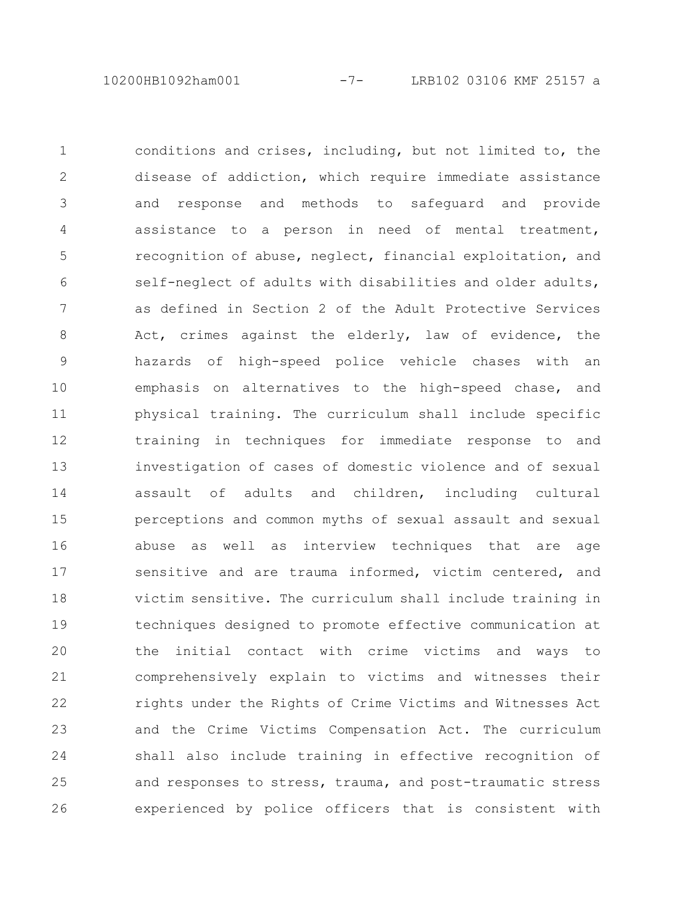10200HB1092ham001 -7- LRB102 03106 KMF 25157 a

conditions and crises, including, but not limited to, the disease of addiction, which require immediate assistance and response and methods to safeguard and provide assistance to a person in need of mental treatment, recognition of abuse, neglect, financial exploitation, and self-neglect of adults with disabilities and older adults, as defined in Section 2 of the Adult Protective Services Act, crimes against the elderly, law of evidence, the hazards of high-speed police vehicle chases with an emphasis on alternatives to the high-speed chase, and physical training. The curriculum shall include specific training in techniques for immediate response to and investigation of cases of domestic violence and of sexual assault of adults and children, including cultural perceptions and common myths of sexual assault and sexual abuse as well as interview techniques that are age sensitive and are trauma informed, victim centered, and victim sensitive. The curriculum shall include training in techniques designed to promote effective communication at the initial contact with crime victims and ways to comprehensively explain to victims and witnesses their rights under the Rights of Crime Victims and Witnesses Act and the Crime Victims Compensation Act. The curriculum shall also include training in effective recognition of and responses to stress, trauma, and post-traumatic stress experienced by police officers that is consistent with 1 2 3 4 5 6 7 8 9 10 11 12 13 14 15 16 17 18 19 20 21 22 23 24 25 26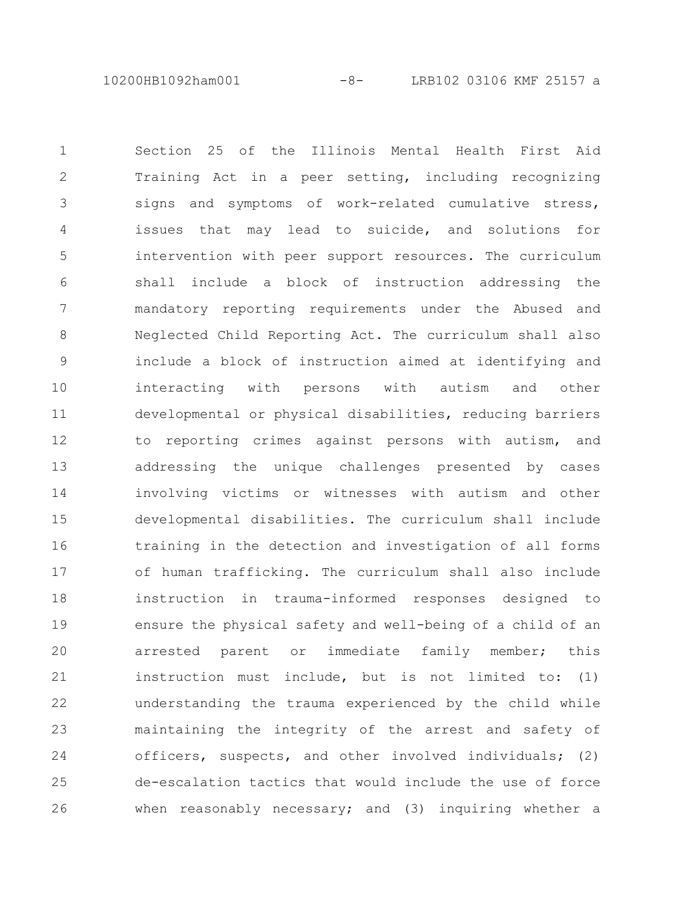10200HB1092ham001 -8- LRB102 03106 KMF 25157 a

Section 25 of the Illinois Mental Health First Aid Training Act in a peer setting, including recognizing signs and symptoms of work-related cumulative stress, issues that may lead to suicide, and solutions for intervention with peer support resources. The curriculum shall include a block of instruction addressing the mandatory reporting requirements under the Abused and Neglected Child Reporting Act. The curriculum shall also include a block of instruction aimed at identifying and interacting with persons with autism and other developmental or physical disabilities, reducing barriers to reporting crimes against persons with autism, and addressing the unique challenges presented by cases involving victims or witnesses with autism and other developmental disabilities. The curriculum shall include training in the detection and investigation of all forms of human trafficking. The curriculum shall also include instruction in trauma-informed responses designed to ensure the physical safety and well-being of a child of an arrested parent or immediate family member; this instruction must include, but is not limited to: (1) understanding the trauma experienced by the child while maintaining the integrity of the arrest and safety of officers, suspects, and other involved individuals; (2) de-escalation tactics that would include the use of force when reasonably necessary; and (3) inquiring whether a 1 2 3 4 5 6 7 8 9 10 11 12 13 14 15 16 17 18 19 20 21 22 23 24 25 26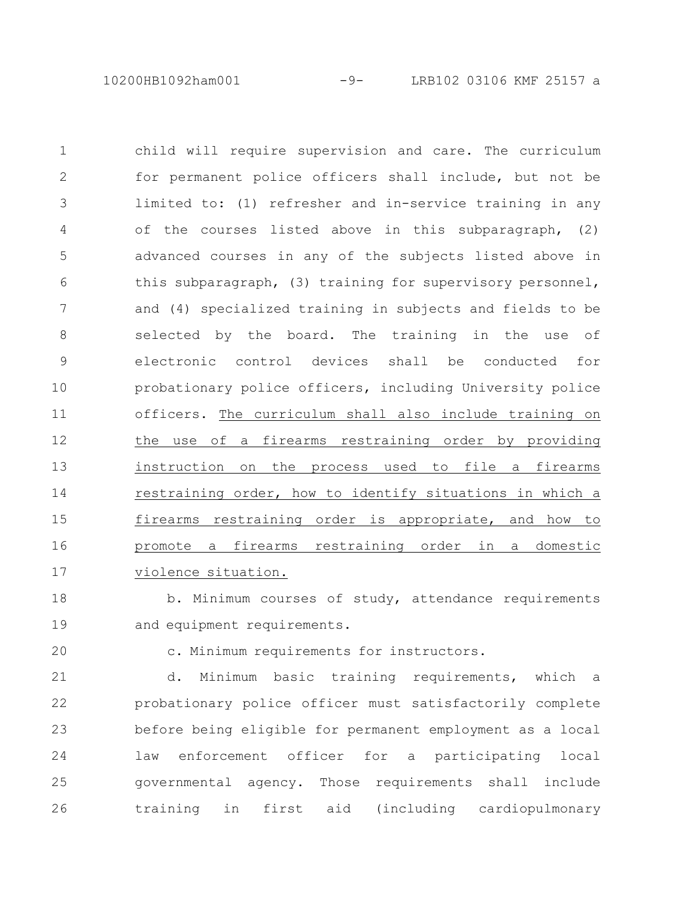10200HB1092ham001 -9- LRB102 03106 KMF 25157 a

child will require supervision and care. The curriculum for permanent police officers shall include, but not be limited to: (1) refresher and in-service training in any of the courses listed above in this subparagraph, (2) advanced courses in any of the subjects listed above in this subparagraph, (3) training for supervisory personnel, and (4) specialized training in subjects and fields to be selected by the board. The training in the use of electronic control devices shall be conducted for probationary police officers, including University police officers. The curriculum shall also include training on the use of a firearms restraining order by providing instruction on the process used to file a firearms restraining order, how to identify situations in which a firearms restraining order is appropriate, and how to promote a firearms restraining order in a domestic violence situation. 1 2 3 4 5 6 7 8 9 10 11 12 13 14 15 16 17

b. Minimum courses of study, attendance requirements and equipment requirements. 18 19

20

c. Minimum requirements for instructors.

d. Minimum basic training requirements, which a probationary police officer must satisfactorily complete before being eligible for permanent employment as a local law enforcement officer for a participating local governmental agency. Those requirements shall include training in first aid (including cardiopulmonary 21 22 23 24 25 26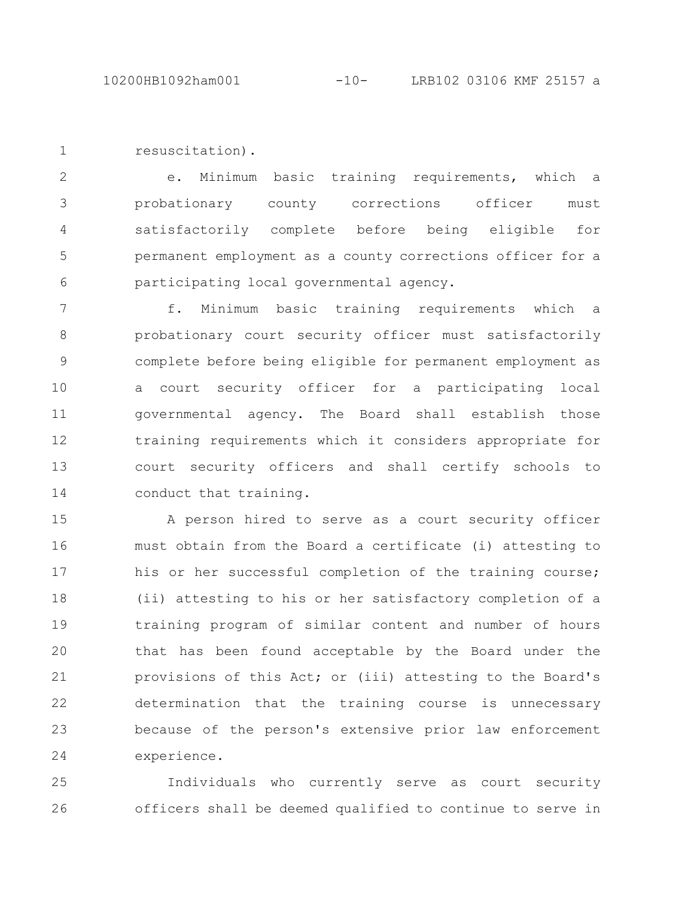resuscitation). 1

e. Minimum basic training requirements, which a probationary county corrections officer must satisfactorily complete before being eligible for permanent employment as a county corrections officer for a participating local governmental agency. 2 3 4 5 6

f. Minimum basic training requirements which a probationary court security officer must satisfactorily complete before being eligible for permanent employment as a court security officer for a participating local governmental agency. The Board shall establish those training requirements which it considers appropriate for court security officers and shall certify schools to conduct that training. 7 8 9 10 11 12 13 14

A person hired to serve as a court security officer must obtain from the Board a certificate (i) attesting to his or her successful completion of the training course; (ii) attesting to his or her satisfactory completion of a training program of similar content and number of hours that has been found acceptable by the Board under the provisions of this Act; or (iii) attesting to the Board's determination that the training course is unnecessary because of the person's extensive prior law enforcement experience. 15 16 17 18 19 20 21 22 23 24

Individuals who currently serve as court security officers shall be deemed qualified to continue to serve in 25 26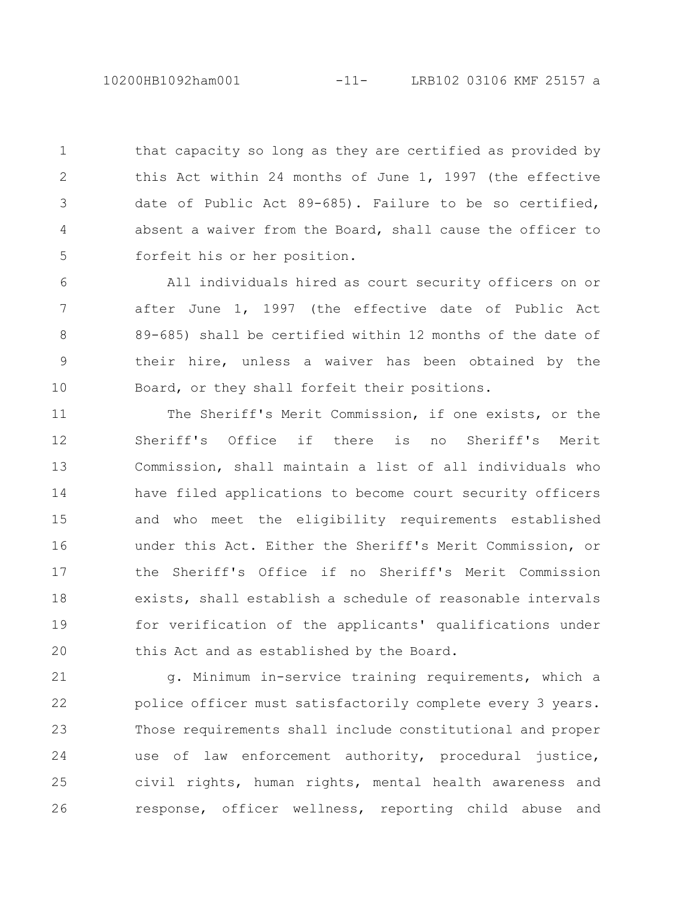10200HB1092ham001 -11- LRB102 03106 KMF 25157 a

that capacity so long as they are certified as provided by this Act within 24 months of June 1, 1997 (the effective date of Public Act 89-685). Failure to be so certified, absent a waiver from the Board, shall cause the officer to forfeit his or her position. 1 2 3 4 5

All individuals hired as court security officers on or after June 1, 1997 (the effective date of Public Act 89-685) shall be certified within 12 months of the date of their hire, unless a waiver has been obtained by the Board, or they shall forfeit their positions. 6 7 8 9 10

The Sheriff's Merit Commission, if one exists, or the Sheriff's Office if there is no Sheriff's Merit Commission, shall maintain a list of all individuals who have filed applications to become court security officers and who meet the eligibility requirements established under this Act. Either the Sheriff's Merit Commission, or the Sheriff's Office if no Sheriff's Merit Commission exists, shall establish a schedule of reasonable intervals for verification of the applicants' qualifications under this Act and as established by the Board. 11 12 13 14 15 16 17 18 19 20

g. Minimum in-service training requirements, which a police officer must satisfactorily complete every 3 years. Those requirements shall include constitutional and proper use of law enforcement authority, procedural justice, civil rights, human rights, mental health awareness and response, officer wellness, reporting child abuse and 21 22 23 24 25 26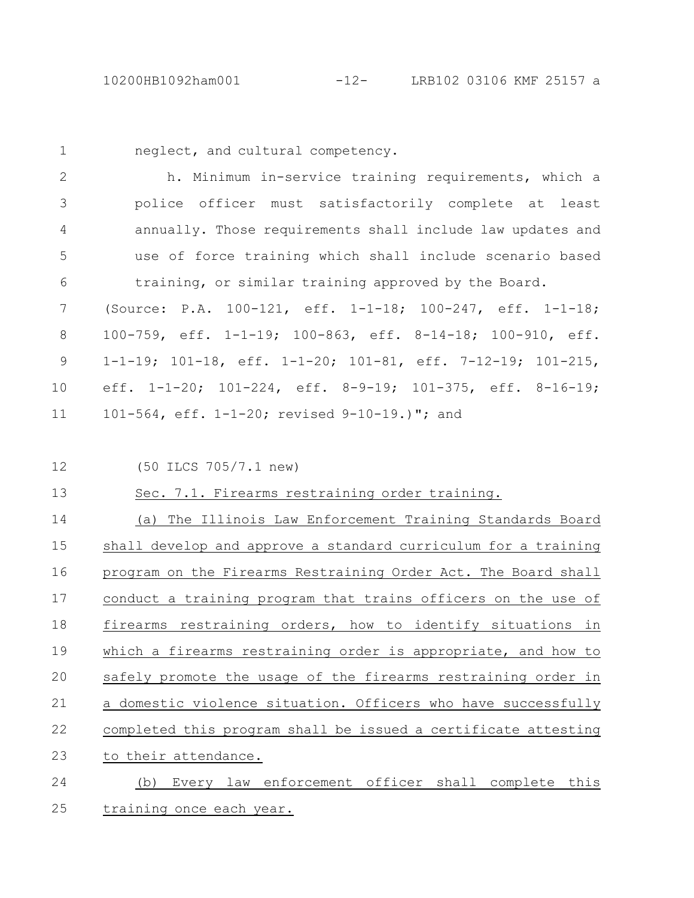1

neglect, and cultural competency.

h. Minimum in-service training requirements, which a police officer must satisfactorily complete at least annually. Those requirements shall include law updates and use of force training which shall include scenario based training, or similar training approved by the Board. 2 3 4 5 6

(Source: P.A. 100-121, eff. 1-1-18; 100-247, eff. 1-1-18; 100-759, eff. 1-1-19; 100-863, eff. 8-14-18; 100-910, eff. 1-1-19; 101-18, eff. 1-1-20; 101-81, eff. 7-12-19; 101-215, eff. 1-1-20; 101-224, eff. 8-9-19; 101-375, eff. 8-16-19; 101-564, eff. 1-1-20; revised 9-10-19.)"; and 7 8 9 10 11

12

(50 ILCS 705/7.1 new)

Sec. 7.1. Firearms restraining order training. 13

(a) The Illinois Law Enforcement Training Standards Board shall develop and approve a standard curriculum for a training program on the Firearms Restraining Order Act. The Board shall conduct a training program that trains officers on the use of firearms restraining orders, how to identify situations in which a firearms restraining order is appropriate, and how to safely promote the usage of the firearms restraining order in a domestic violence situation. Officers who have successfully completed this program shall be issued a certificate attesting to their attendance. (b) Every law enforcement officer shall complete this 14 15 16 17 18 19 20 21 22 23 24

training once each year. 25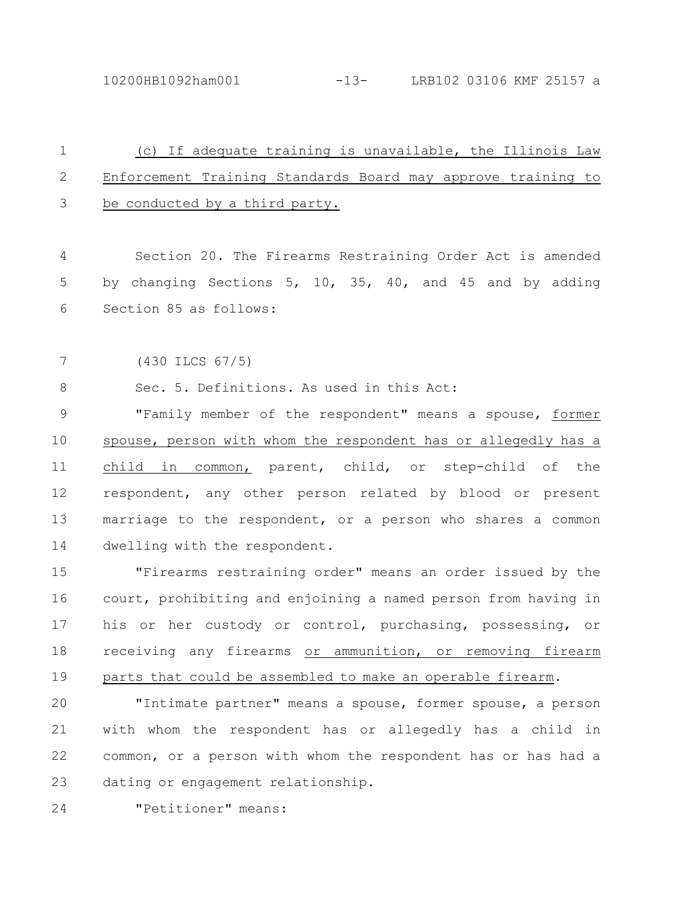10200HB1092ham001 -13- LRB102 03106 KMF 25157 a

| $\mathbf 1$   | (c) If adequate training is unavailable, the Illinois Law      |
|---------------|----------------------------------------------------------------|
| $\sqrt{2}$    | Enforcement Training Standards Board may approve training to   |
| 3             | be conducted by a third party.                                 |
|               |                                                                |
| 4             | Section 20. The Firearms Restraining Order Act is amended      |
| 5             | by changing Sections 5, 10, 35, 40, and 45 and by adding       |
| 6             | Section 85 as follows:                                         |
|               |                                                                |
| 7             | $(430$ ILCS $67/5)$                                            |
| $8\,$         | Sec. 5. Definitions. As used in this Act:                      |
| $\mathcal{G}$ | "Family member of the respondent" means a spouse, former       |
| 10            | spouse, person with whom the respondent has or allegedly has a |
| 11            | child in common, parent, child, or step-child of<br>the        |
| 12            | respondent, any other person related by blood or present       |
| 13            | marriage to the respondent, or a person who shares a common    |
| 14            | dwelling with the respondent.                                  |
| 15            | "Firearms restraining order" means an order issued by the      |
| 16            | court, prohibiting and enjoining a named person from having in |
| 17            | his or her custody or control, purchasing, possessing, or      |
| 18            | receiving any firearms or ammunition, or removing firearm      |
| 19            | parts that could be assembled to make an operable firearm.     |
| 20            | "Intimate partner" means a spouse, former spouse, a person     |
| 21            | with whom the respondent has or allegedly has a child in       |
| 22            | common, or a person with whom the respondent has or has had a  |
| 23            | dating or engagement relationship.                             |
| 24            | "Petitioner" means:                                            |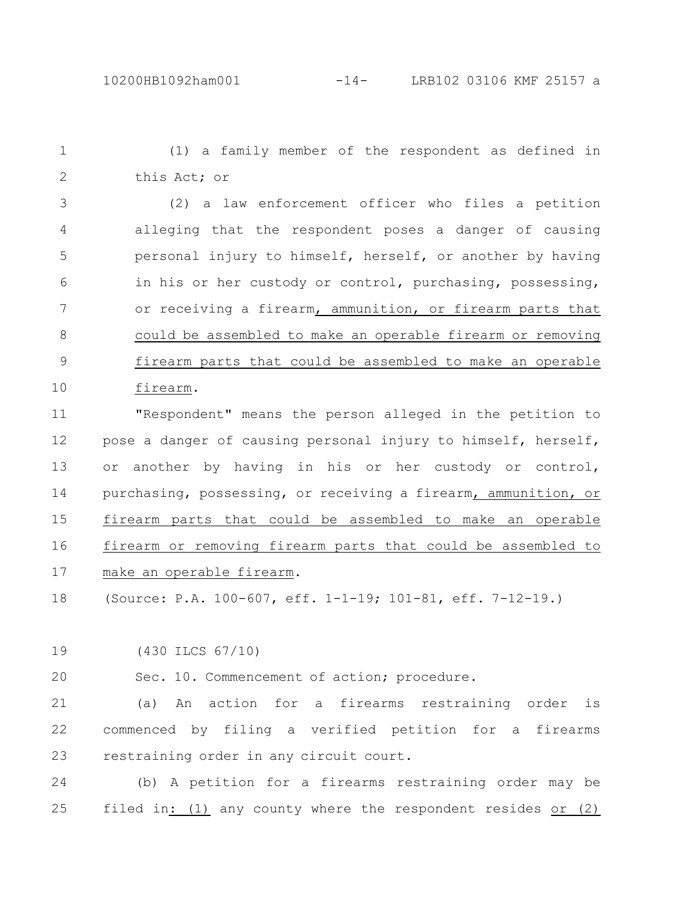(1) a family member of the respondent as defined in this Act; or 1 2

(2) a law enforcement officer who files a petition alleging that the respondent poses a danger of causing personal injury to himself, herself, or another by having in his or her custody or control, purchasing, possessing, or receiving a firearm, ammunition, or firearm parts that could be assembled to make an operable firearm or removing firearm parts that could be assembled to make an operable firearm. 3 4 5 6 7 8 9 10

"Respondent" means the person alleged in the petition to pose a danger of causing personal injury to himself, herself, or another by having in his or her custody or control, purchasing, possessing, or receiving a firearm, ammunition, or firearm parts that could be assembled to make an operable firearm or removing firearm parts that could be assembled to make an operable firearm. 11 12 13 14 15 16 17

(Source: P.A. 100-607, eff. 1-1-19; 101-81, eff. 7-12-19.) 18

(430 ILCS 67/10) 19

20

Sec. 10. Commencement of action; procedure.

(a) An action for a firearms restraining order is commenced by filing a verified petition for a firearms restraining order in any circuit court. 21 22 23

(b) A petition for a firearms restraining order may be filed in: (1) any county where the respondent resides or (2) 24 25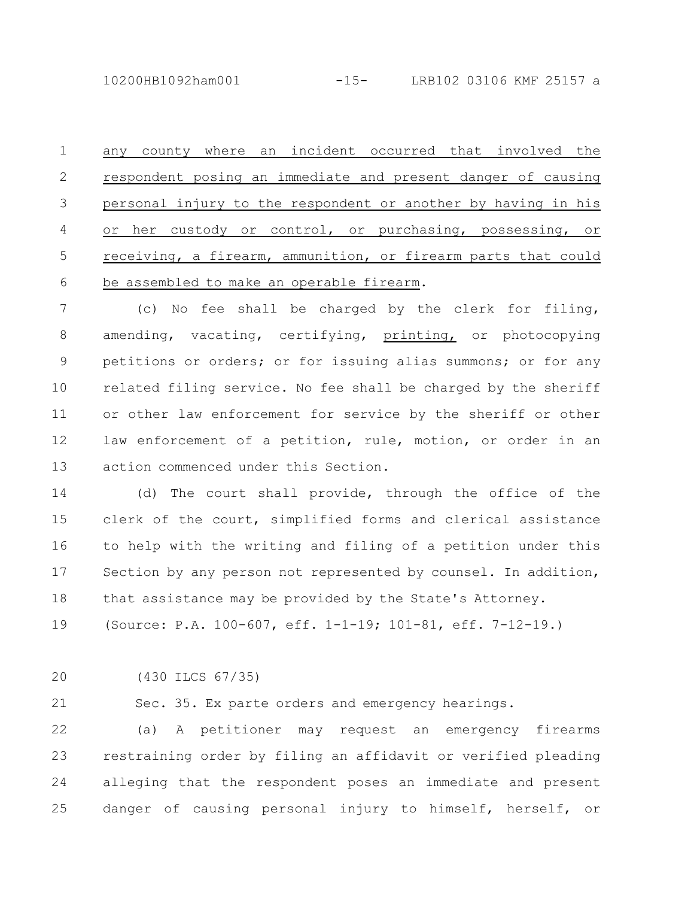any county where an incident occurred that involved the respondent posing an immediate and present danger of causing personal injury to the respondent or another by having in his or her custody or control, or purchasing, possessing, or receiving, a firearm, ammunition, or firearm parts that could be assembled to make an operable firearm. 1 2 3 4 5 6

(c) No fee shall be charged by the clerk for filing, amending, vacating, certifying, printing, or photocopying petitions or orders; or for issuing alias summons; or for any related filing service. No fee shall be charged by the sheriff or other law enforcement for service by the sheriff or other law enforcement of a petition, rule, motion, or order in an action commenced under this Section. 7 8 9 10 11 12 13

(d) The court shall provide, through the office of the clerk of the court, simplified forms and clerical assistance to help with the writing and filing of a petition under this Section by any person not represented by counsel. In addition, that assistance may be provided by the State's Attorney. 14 15 16 17 18

(Source: P.A. 100-607, eff. 1-1-19; 101-81, eff. 7-12-19.) 19

(430 ILCS 67/35) 20

21

Sec. 35. Ex parte orders and emergency hearings.

(a) A petitioner may request an emergency firearms restraining order by filing an affidavit or verified pleading alleging that the respondent poses an immediate and present danger of causing personal injury to himself, herself, or 22 23 24 25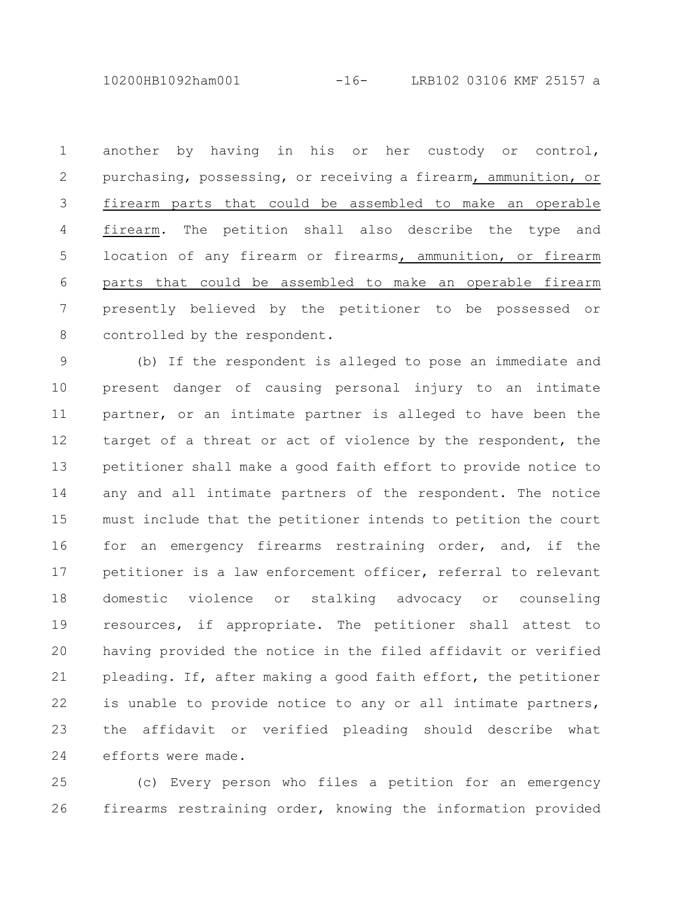10200HB1092ham001 -16- LRB102 03106 KMF 25157 a

another by having in his or her custody or control, purchasing, possessing, or receiving a firearm, ammunition, or firearm parts that could be assembled to make an operable firearm. The petition shall also describe the type and location of any firearm or firearms, ammunition, or firearm parts that could be assembled to make an operable firearm presently believed by the petitioner to be possessed or controlled by the respondent. 1 2 3 4 5 6 7 8

(b) If the respondent is alleged to pose an immediate and present danger of causing personal injury to an intimate partner, or an intimate partner is alleged to have been the target of a threat or act of violence by the respondent, the petitioner shall make a good faith effort to provide notice to any and all intimate partners of the respondent. The notice must include that the petitioner intends to petition the court for an emergency firearms restraining order, and, if the petitioner is a law enforcement officer, referral to relevant domestic violence or stalking advocacy or counseling resources, if appropriate. The petitioner shall attest to having provided the notice in the filed affidavit or verified pleading. If, after making a good faith effort, the petitioner is unable to provide notice to any or all intimate partners, the affidavit or verified pleading should describe what efforts were made. 9 10 11 12 13 14 15 16 17 18 19 20 21 22 23 24

(c) Every person who files a petition for an emergency firearms restraining order, knowing the information provided 25 26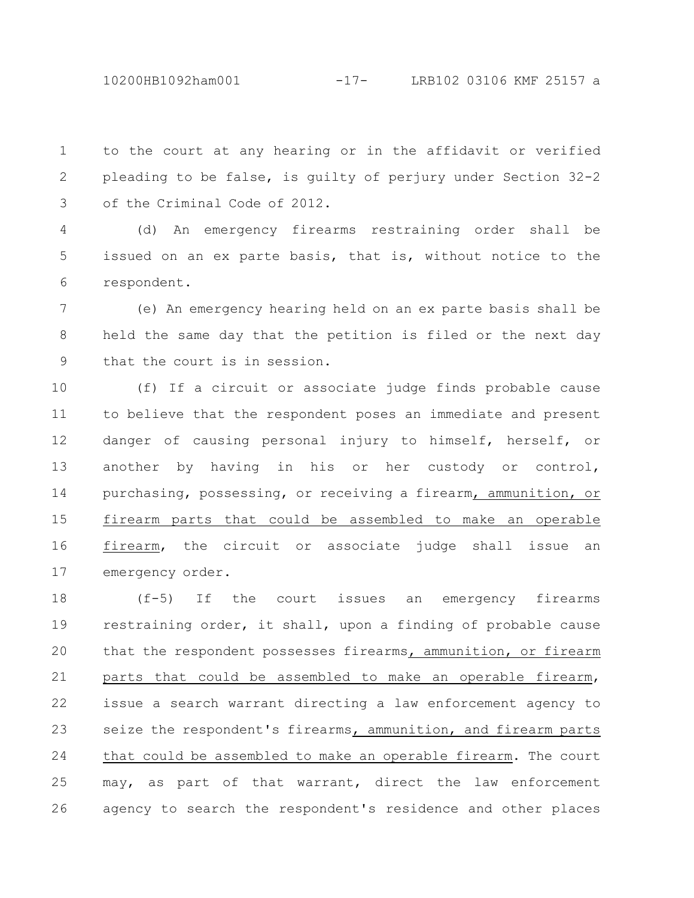10200HB1092ham001 -17- LRB102 03106 KMF 25157 a

to the court at any hearing or in the affidavit or verified pleading to be false, is guilty of perjury under Section 32-2 of the Criminal Code of 2012. 1 2 3

(d) An emergency firearms restraining order shall be issued on an ex parte basis, that is, without notice to the respondent. 4 5 6

(e) An emergency hearing held on an ex parte basis shall be held the same day that the petition is filed or the next day that the court is in session. 7 8 9

(f) If a circuit or associate judge finds probable cause to believe that the respondent poses an immediate and present danger of causing personal injury to himself, herself, or another by having in his or her custody or control, purchasing, possessing, or receiving a firearm, ammunition, or firearm parts that could be assembled to make an operable firearm, the circuit or associate judge shall issue an emergency order. 10 11 12 13 14 15 16 17

(f-5) If the court issues an emergency firearms restraining order, it shall, upon a finding of probable cause that the respondent possesses firearms, ammunition, or firearm parts that could be assembled to make an operable firearm, issue a search warrant directing a law enforcement agency to seize the respondent's firearms, ammunition, and firearm parts that could be assembled to make an operable firearm. The court may, as part of that warrant, direct the law enforcement agency to search the respondent's residence and other places 18 19 20 21 22 23 24 25 26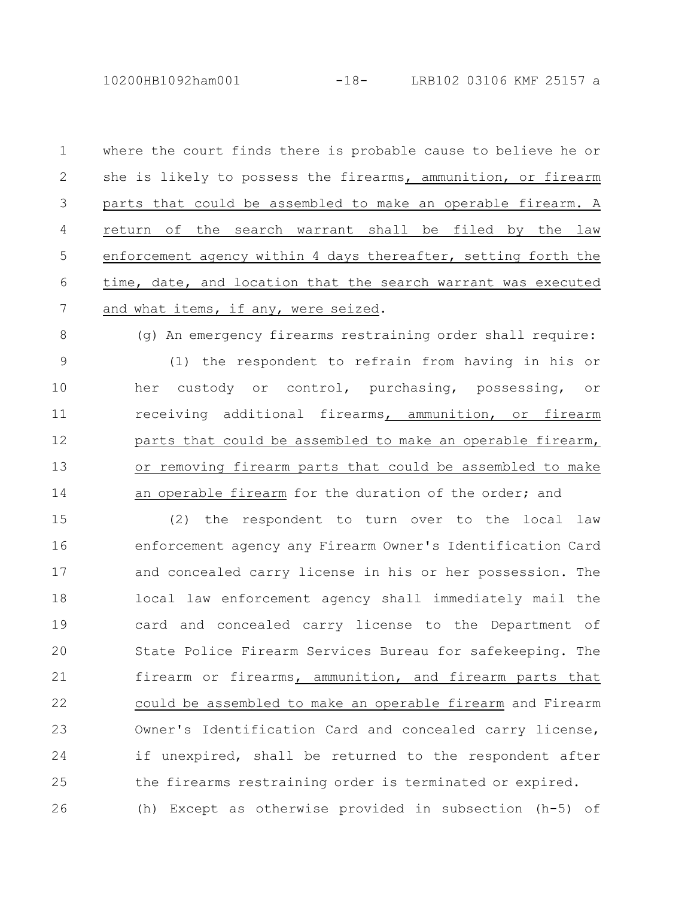where the court finds there is probable cause to believe he or she is likely to possess the firearms, ammunition, or firearm parts that could be assembled to make an operable firearm. A return of the search warrant shall be filed by the law enforcement agency within 4 days thereafter, setting forth the time, date, and location that the search warrant was executed and what items, if any, were seized. 1 2 3 4 5 6 7

(g) An emergency firearms restraining order shall require: (1) the respondent to refrain from having in his or her custody or control, purchasing, possessing, or receiving additional firearms, ammunition, or firearm parts that could be assembled to make an operable firearm, or removing firearm parts that could be assembled to make an operable firearm for the duration of the order; and 8 9 10 11 12 13 14

(2) the respondent to turn over to the local law enforcement agency any Firearm Owner's Identification Card and concealed carry license in his or her possession. The local law enforcement agency shall immediately mail the card and concealed carry license to the Department of State Police Firearm Services Bureau for safekeeping. The firearm or firearms, ammunition, and firearm parts that could be assembled to make an operable firearm and Firearm Owner's Identification Card and concealed carry license, if unexpired, shall be returned to the respondent after the firearms restraining order is terminated or expired. (h) Except as otherwise provided in subsection (h-5) of 15 16 17 18 19 20 21 22 23 24 25 26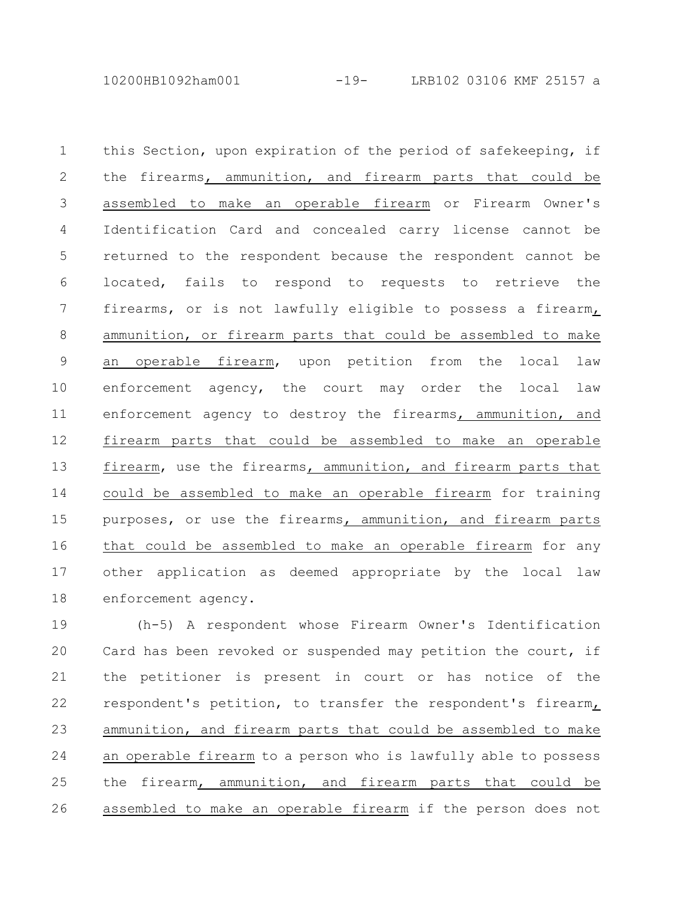10200HB1092ham001 -19- LRB102 03106 KMF 25157 a

this Section, upon expiration of the period of safekeeping, if the firearms, ammunition, and firearm parts that could be assembled to make an operable firearm or Firearm Owner's Identification Card and concealed carry license cannot be returned to the respondent because the respondent cannot be located, fails to respond to requests to retrieve the firearms, or is not lawfully eligible to possess a firearm, ammunition, or firearm parts that could be assembled to make an operable firearm, upon petition from the local law enforcement agency, the court may order the local law enforcement agency to destroy the firearms, ammunition, and firearm parts that could be assembled to make an operable firearm, use the firearms, ammunition, and firearm parts that could be assembled to make an operable firearm for training purposes, or use the firearms, ammunition, and firearm parts that could be assembled to make an operable firearm for any other application as deemed appropriate by the local law enforcement agency. 1 2 3 4 5 6 7 8 9 10 11 12 13 14 15 16 17 18

(h-5) A respondent whose Firearm Owner's Identification Card has been revoked or suspended may petition the court, if the petitioner is present in court or has notice of the respondent's petition, to transfer the respondent's firearm, ammunition, and firearm parts that could be assembled to make an operable firearm to a person who is lawfully able to possess the firearm, ammunition, and firearm parts that could be assembled to make an operable firearm if the person does not 19 20 21 22 23 24 25 26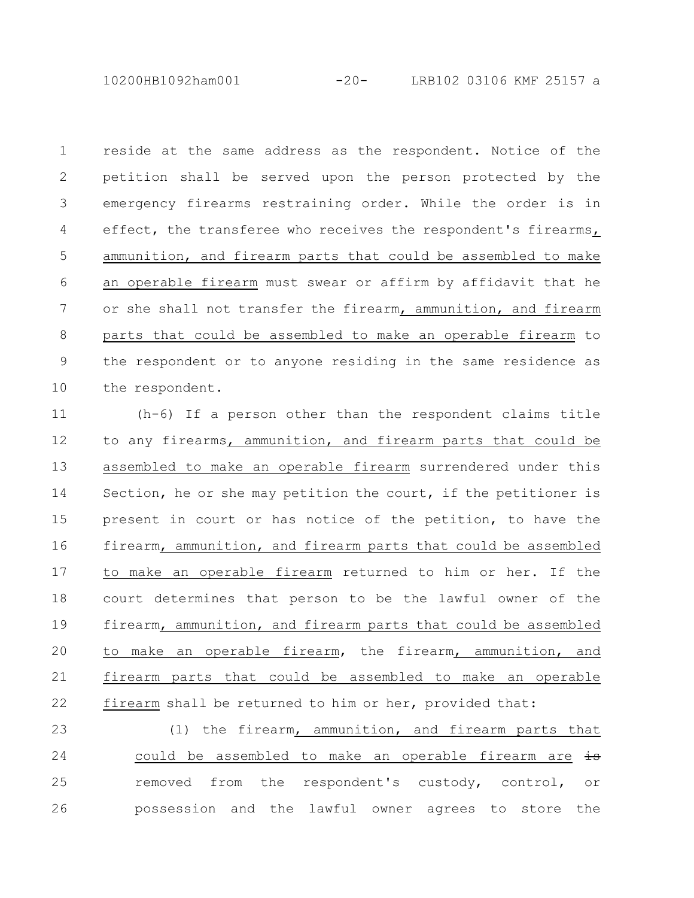10200HB1092ham001 -20- LRB102 03106 KMF 25157 a

reside at the same address as the respondent. Notice of the petition shall be served upon the person protected by the emergency firearms restraining order. While the order is in effect, the transferee who receives the respondent's firearms, ammunition, and firearm parts that could be assembled to make an operable firearm must swear or affirm by affidavit that he or she shall not transfer the firearm, ammunition, and firearm parts that could be assembled to make an operable firearm to the respondent or to anyone residing in the same residence as the respondent. 1 2 3 4 5 6 7 8 9 10

(h-6) If a person other than the respondent claims title to any firearms, ammunition, and firearm parts that could be assembled to make an operable firearm surrendered under this Section, he or she may petition the court, if the petitioner is present in court or has notice of the petition, to have the firearm, ammunition, and firearm parts that could be assembled to make an operable firearm returned to him or her. If the court determines that person to be the lawful owner of the firearm, ammunition, and firearm parts that could be assembled to make an operable firearm, the firearm, ammunition, and firearm parts that could be assembled to make an operable firearm shall be returned to him or her, provided that: 11 12 13 14 15 16 17 18 19 20 21 22

(1) the firearm, ammunition, and firearm parts that could be assembled to make an operable firearm are  $\pm$ removed from the respondent's custody, control, or possession and the lawful owner agrees to store the 23 24 25 26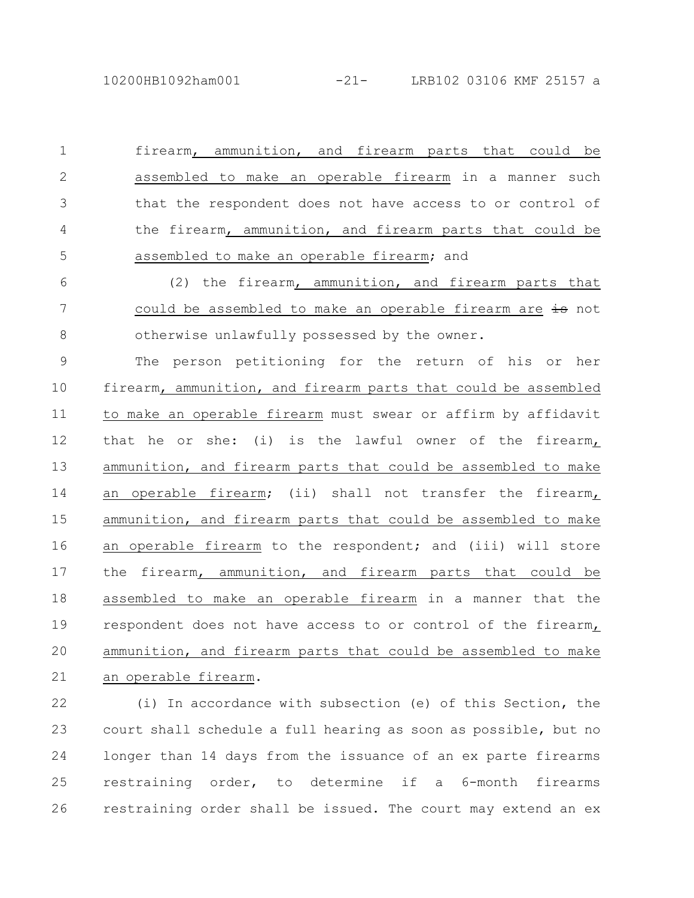firearm, ammunition, and firearm parts that could be assembled to make an operable firearm in a manner such that the respondent does not have access to or control of the firearm, ammunition, and firearm parts that could be assembled to make an operable firearm; and 1 2 3 4 5

(2) the firearm, ammunition, and firearm parts that could be assembled to make an operable firearm are is not otherwise unlawfully possessed by the owner. 6 7 8

The person petitioning for the return of his or her firearm, ammunition, and firearm parts that could be assembled to make an operable firearm must swear or affirm by affidavit that he or she: (i) is the lawful owner of the firearm $<sub>L</sub>$ </sub> ammunition, and firearm parts that could be assembled to make an operable firearm; (ii) shall not transfer the firearm, ammunition, and firearm parts that could be assembled to make an operable firearm to the respondent; and (iii) will store the firearm, ammunition, and firearm parts that could be assembled to make an operable firearm in a manner that the respondent does not have access to or control of the firearm, ammunition, and firearm parts that could be assembled to make an operable firearm. 9 10 11 12 13 14 15 16 17 18 19 20 21

(i) In accordance with subsection (e) of this Section, the court shall schedule a full hearing as soon as possible, but no longer than 14 days from the issuance of an ex parte firearms restraining order, to determine if a 6-month firearms restraining order shall be issued. The court may extend an ex 22 23 24 25 26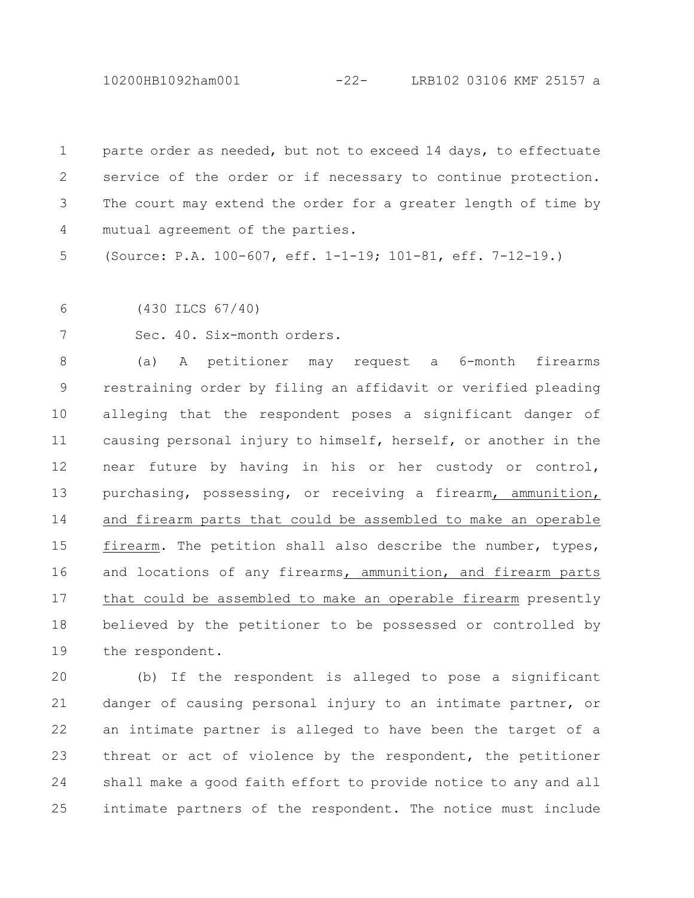10200HB1092ham001 -22- LRB102 03106 KMF 25157 a

parte order as needed, but not to exceed 14 days, to effectuate service of the order or if necessary to continue protection. The court may extend the order for a greater length of time by mutual agreement of the parties. 1 2 3 4

(Source: P.A. 100-607, eff. 1-1-19; 101-81, eff. 7-12-19.) 5

(430 ILCS 67/40) 6

7

Sec. 40. Six-month orders.

(a) A petitioner may request a 6-month firearms restraining order by filing an affidavit or verified pleading alleging that the respondent poses a significant danger of causing personal injury to himself, herself, or another in the near future by having in his or her custody or control, purchasing, possessing, or receiving a firearm, ammunition, and firearm parts that could be assembled to make an operable firearm. The petition shall also describe the number, types, and locations of any firearms, ammunition, and firearm parts that could be assembled to make an operable firearm presently believed by the petitioner to be possessed or controlled by the respondent. 8 9 10 11 12 13 14 15 16 17 18 19

(b) If the respondent is alleged to pose a significant danger of causing personal injury to an intimate partner, or an intimate partner is alleged to have been the target of a threat or act of violence by the respondent, the petitioner shall make a good faith effort to provide notice to any and all intimate partners of the respondent. The notice must include  $20$ 21 22 23 24 25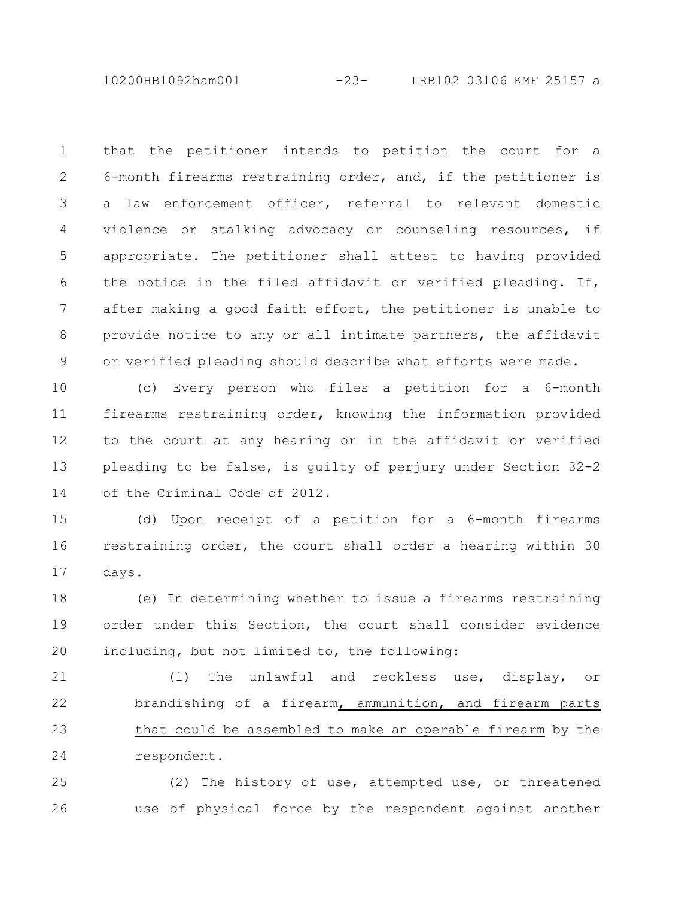10200HB1092ham001 -23- LRB102 03106 KMF 25157 a

that the petitioner intends to petition the court for a 6-month firearms restraining order, and, if the petitioner is a law enforcement officer, referral to relevant domestic violence or stalking advocacy or counseling resources, if appropriate. The petitioner shall attest to having provided the notice in the filed affidavit or verified pleading. If, after making a good faith effort, the petitioner is unable to provide notice to any or all intimate partners, the affidavit or verified pleading should describe what efforts were made. 1 2 3 4 5 6 7 8 9

(c) Every person who files a petition for a 6-month firearms restraining order, knowing the information provided to the court at any hearing or in the affidavit or verified pleading to be false, is guilty of perjury under Section 32-2 of the Criminal Code of 2012. 10 11 12 13 14

(d) Upon receipt of a petition for a 6-month firearms restraining order, the court shall order a hearing within 30 days. 15 16 17

(e) In determining whether to issue a firearms restraining order under this Section, the court shall consider evidence including, but not limited to, the following: 18 19 20

(1) The unlawful and reckless use, display, or brandishing of a firearm, ammunition, and firearm parts that could be assembled to make an operable firearm by the respondent. 21 22 23 24

(2) The history of use, attempted use, or threatened use of physical force by the respondent against another 25 26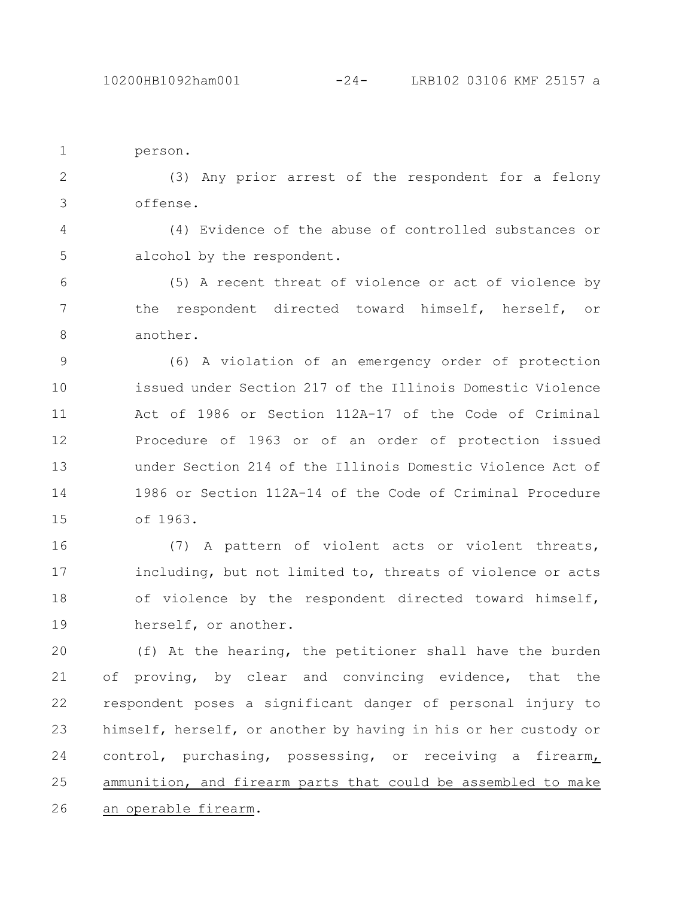```
person.
1
```
(3) Any prior arrest of the respondent for a felony offense. 2 3

(4) Evidence of the abuse of controlled substances or alcohol by the respondent. 4 5

(5) A recent threat of violence or act of violence by the respondent directed toward himself, herself, or another. 6 7 8

(6) A violation of an emergency order of protection issued under Section 217 of the Illinois Domestic Violence Act of 1986 or Section 112A-17 of the Code of Criminal Procedure of 1963 or of an order of protection issued under Section 214 of the Illinois Domestic Violence Act of 1986 or Section 112A-14 of the Code of Criminal Procedure of 1963. 9 10 11 12 13 14 15

(7) A pattern of violent acts or violent threats, including, but not limited to, threats of violence or acts of violence by the respondent directed toward himself, herself, or another. 16 17 18 19

(f) At the hearing, the petitioner shall have the burden of proving, by clear and convincing evidence, that the respondent poses a significant danger of personal injury to himself, herself, or another by having in his or her custody or control, purchasing, possessing, or receiving a firearm, ammunition, and firearm parts that could be assembled to make an operable firearm. 20 21 22 23 24 25 26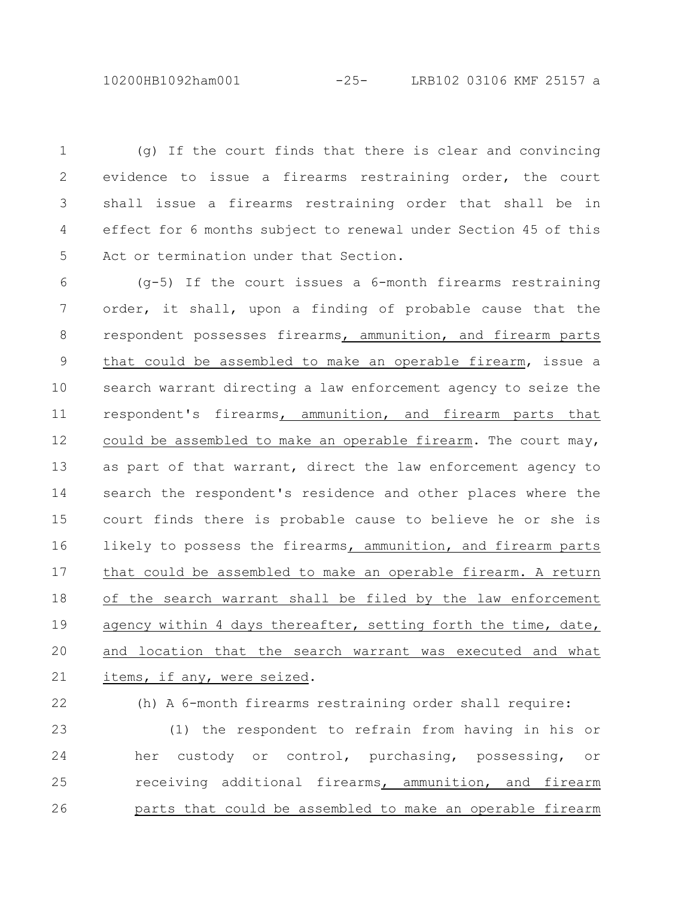10200HB1092ham001 -25- LRB102 03106 KMF 25157 a

(g) If the court finds that there is clear and convincing evidence to issue a firearms restraining order, the court shall issue a firearms restraining order that shall be in effect for 6 months subject to renewal under Section 45 of this Act or termination under that Section. 1 2 3 4 5

(g-5) If the court issues a 6-month firearms restraining order, it shall, upon a finding of probable cause that the respondent possesses firearms, ammunition, and firearm parts that could be assembled to make an operable firearm, issue a search warrant directing a law enforcement agency to seize the respondent's firearms, ammunition, and firearm parts that could be assembled to make an operable firearm. The court may, as part of that warrant, direct the law enforcement agency to search the respondent's residence and other places where the court finds there is probable cause to believe he or she is likely to possess the firearms, ammunition, and firearm parts that could be assembled to make an operable firearm. A return of the search warrant shall be filed by the law enforcement agency within 4 days thereafter, setting forth the time, date, and location that the search warrant was executed and what items, if any, were seized. 6 7 8 9 10 11 12 13 14 15 16 17 18 19 20 21

(h) A 6-month firearms restraining order shall require: (1) the respondent to refrain from having in his or her custody or control, purchasing, possessing, or receiving additional firearms, ammunition, and firearm parts that could be assembled to make an operable firearm 22 23 24 25 26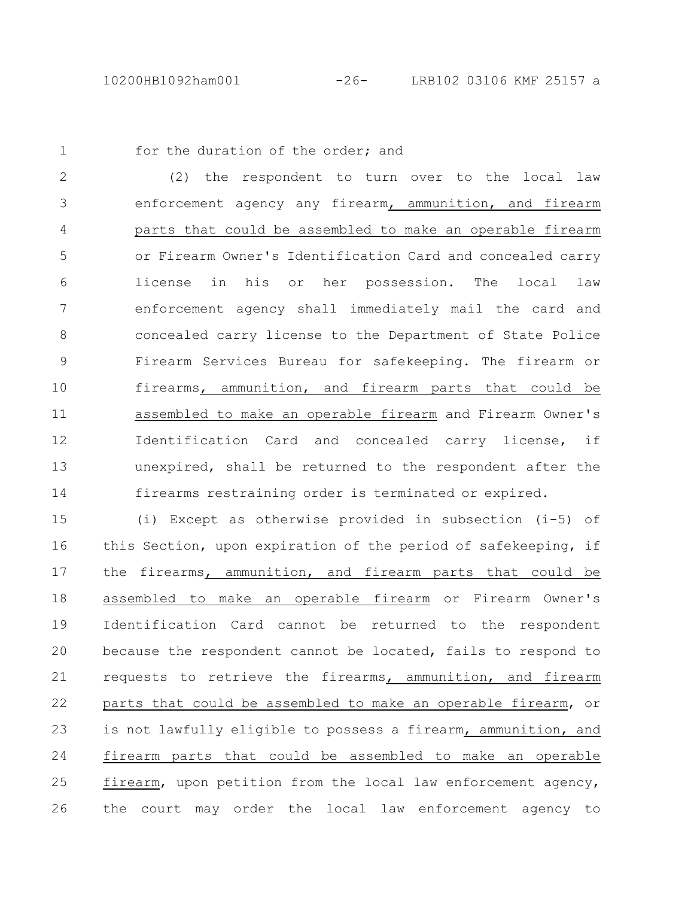1

## for the duration of the order; and

(2) the respondent to turn over to the local law enforcement agency any firearm, ammunition, and firearm parts that could be assembled to make an operable firearm or Firearm Owner's Identification Card and concealed carry license in his or her possession. The local law enforcement agency shall immediately mail the card and concealed carry license to the Department of State Police Firearm Services Bureau for safekeeping. The firearm or firearms, ammunition, and firearm parts that could be assembled to make an operable firearm and Firearm Owner's Identification Card and concealed carry license, if unexpired, shall be returned to the respondent after the firearms restraining order is terminated or expired. 2 3 4 5 6 7 8 9 10 11 12 13 14

(i) Except as otherwise provided in subsection (i-5) of this Section, upon expiration of the period of safekeeping, if the firearms, ammunition, and firearm parts that could be assembled to make an operable firearm or Firearm Owner's Identification Card cannot be returned to the respondent because the respondent cannot be located, fails to respond to requests to retrieve the firearms, ammunition, and firearm parts that could be assembled to make an operable firearm, or is not lawfully eligible to possess a firearm, ammunition, and firearm parts that could be assembled to make an operable firearm, upon petition from the local law enforcement agency, the court may order the local law enforcement agency to 15 16 17 18 19 20 21 22 23 24 25 26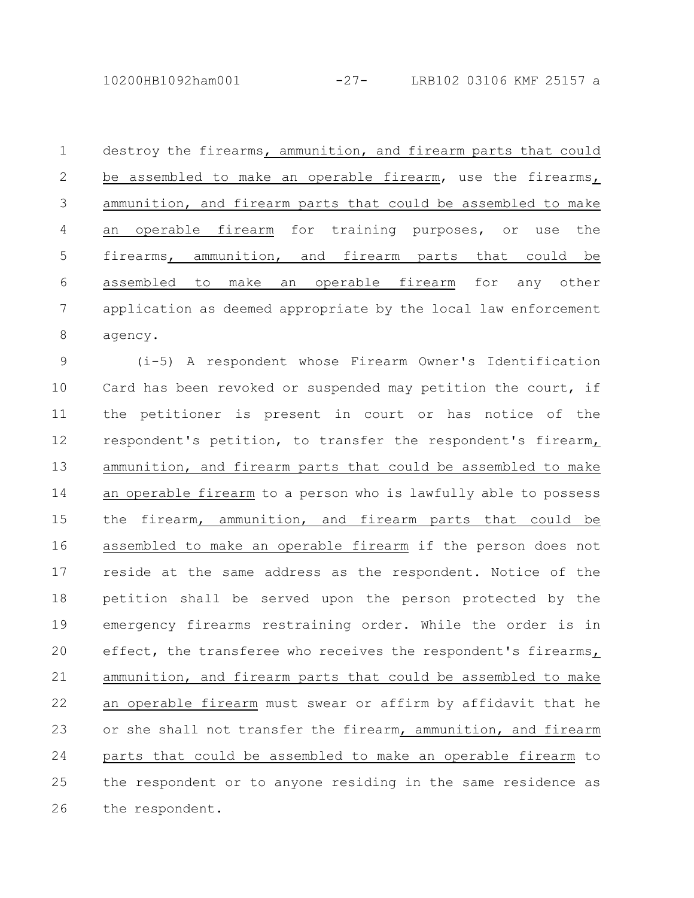destroy the firearms, ammunition, and firearm parts that could be assembled to make an operable firearm, use the firearms, ammunition, and firearm parts that could be assembled to make an operable firearm for training purposes, or use the firearms, ammunition, and firearm parts that could be assembled to make an operable firearm for any other application as deemed appropriate by the local law enforcement agency. 1 2 3 4 5 6 7 8

(i-5) A respondent whose Firearm Owner's Identification Card has been revoked or suspended may petition the court, if the petitioner is present in court or has notice of the respondent's petition, to transfer the respondent's firearm, ammunition, and firearm parts that could be assembled to make an operable firearm to a person who is lawfully able to possess the firearm, ammunition, and firearm parts that could be assembled to make an operable firearm if the person does not reside at the same address as the respondent. Notice of the petition shall be served upon the person protected by the emergency firearms restraining order. While the order is in effect, the transferee who receives the respondent's firearms, ammunition, and firearm parts that could be assembled to make an operable firearm must swear or affirm by affidavit that he or she shall not transfer the firearm, ammunition, and firearm parts that could be assembled to make an operable firearm to the respondent or to anyone residing in the same residence as the respondent. 9 10 11 12 13 14 15 16 17 18 19 20 21 22 23 24 25 26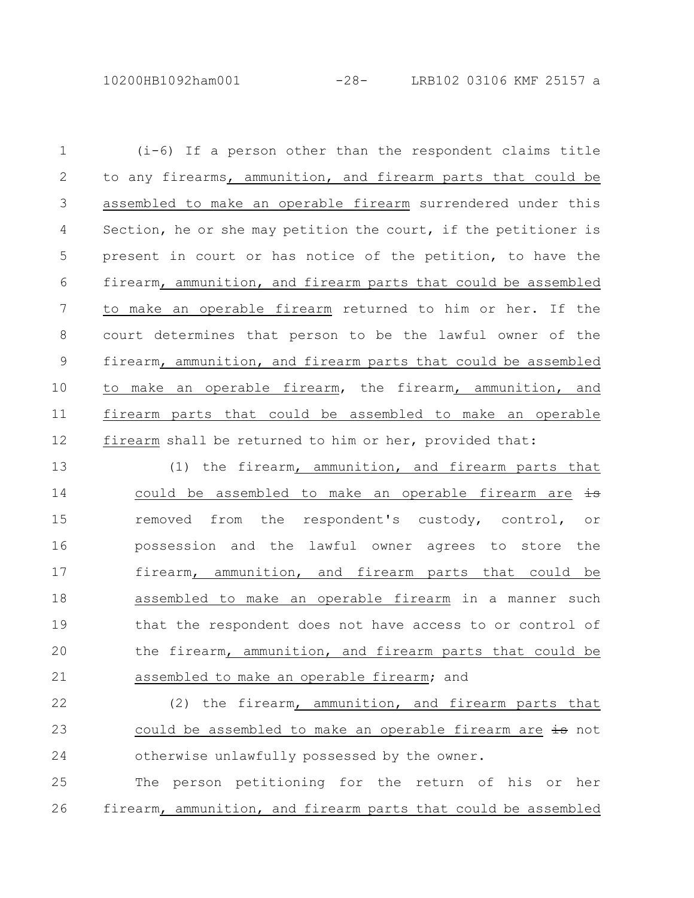10200HB1092ham001 -28- LRB102 03106 KMF 25157 a

(i-6) If a person other than the respondent claims title to any firearms, ammunition, and firearm parts that could be assembled to make an operable firearm surrendered under this Section, he or she may petition the court, if the petitioner is present in court or has notice of the petition, to have the firearm, ammunition, and firearm parts that could be assembled to make an operable firearm returned to him or her. If the court determines that person to be the lawful owner of the firearm, ammunition, and firearm parts that could be assembled to make an operable firearm, the firearm, ammunition, and firearm parts that could be assembled to make an operable firearm shall be returned to him or her, provided that: (1) the firearm, ammunition, and firearm parts that could be assembled to make an operable firearm are is 1 2 3 4 5 6 7 8 9 10 11 12 13 14

removed from the respondent's custody, control, or possession and the lawful owner agrees to store the firearm, ammunition, and firearm parts that could be assembled to make an operable firearm in a manner such that the respondent does not have access to or control of the firearm, ammunition, and firearm parts that could be assembled to make an operable firearm; and 15 16 17 18 19 20 21

(2) the firearm, ammunition, and firearm parts that could be assembled to make an operable firearm are is not otherwise unlawfully possessed by the owner. 22 23 24

The person petitioning for the return of his or her firearm, ammunition, and firearm parts that could be assembled 25 26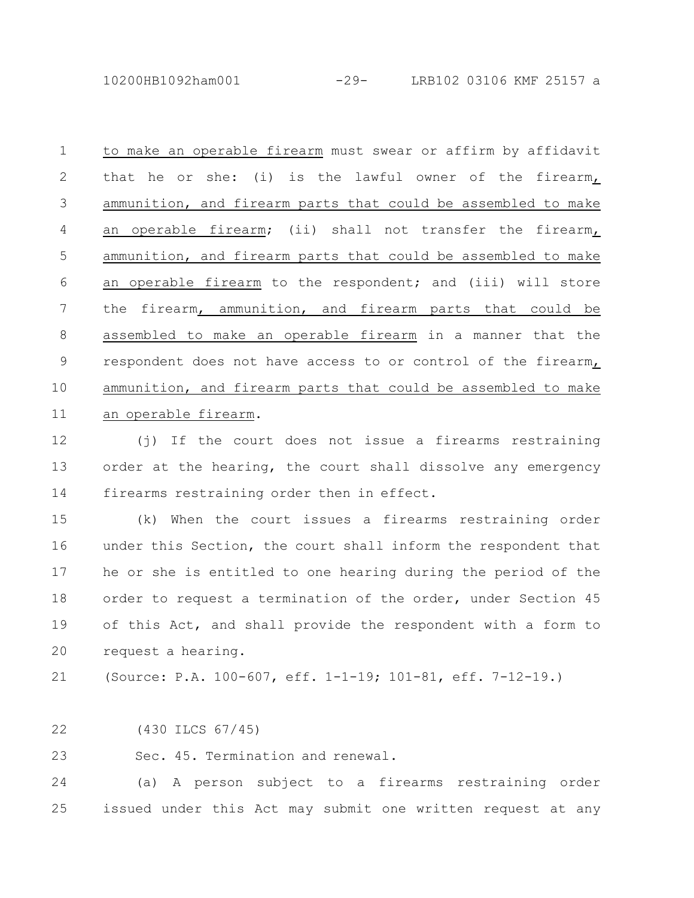10200HB1092ham001 -29- LRB102 03106 KMF 25157 a

to make an operable firearm must swear or affirm by affidavit that he or she: (i) is the lawful owner of the firearm, ammunition, and firearm parts that could be assembled to make an operable firearm; (ii) shall not transfer the firearm, ammunition, and firearm parts that could be assembled to make an operable firearm to the respondent; and (iii) will store the firearm, ammunition, and firearm parts that could be assembled to make an operable firearm in a manner that the respondent does not have access to or control of the firearm, ammunition, and firearm parts that could be assembled to make an operable firearm. 1 2 3 4 5 6 7 8 9 10 11

(j) If the court does not issue a firearms restraining order at the hearing, the court shall dissolve any emergency firearms restraining order then in effect. 12 13 14

(k) When the court issues a firearms restraining order under this Section, the court shall inform the respondent that he or she is entitled to one hearing during the period of the order to request a termination of the order, under Section 45 of this Act, and shall provide the respondent with a form to request a hearing. 15 16 17 18 19 20

(Source: P.A. 100-607, eff. 1-1-19; 101-81, eff. 7-12-19.) 21

(430 ILCS 67/45) 22

Sec. 45. Termination and renewal. 23

(a) A person subject to a firearms restraining order issued under this Act may submit one written request at any 24 25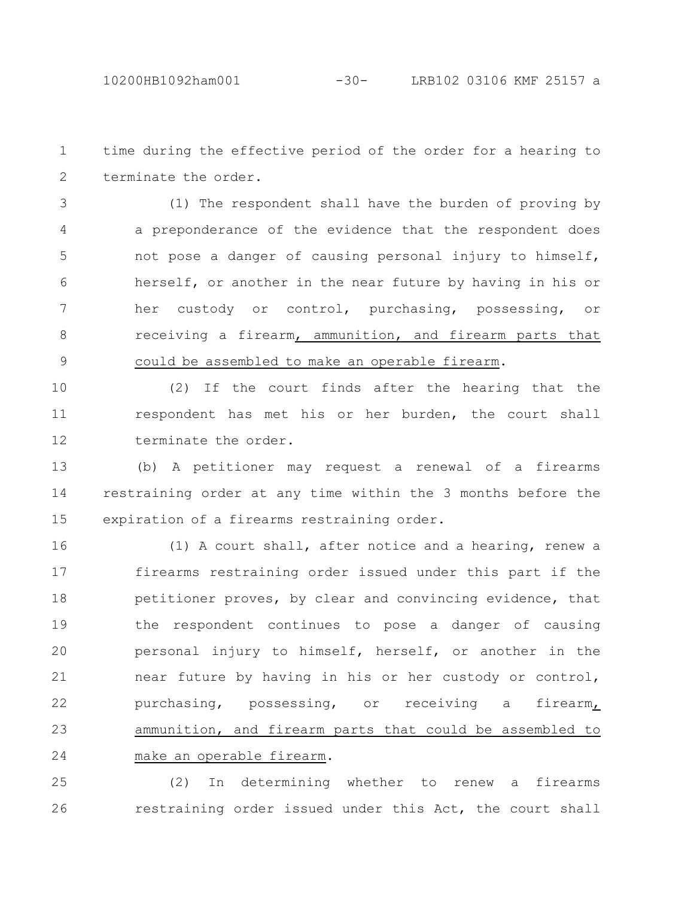time during the effective period of the order for a hearing to terminate the order. 1 2

(1) The respondent shall have the burden of proving by a preponderance of the evidence that the respondent does not pose a danger of causing personal injury to himself, herself, or another in the near future by having in his or her custody or control, purchasing, possessing, or receiving a firearm, ammunition, and firearm parts that could be assembled to make an operable firearm. 3 4 5 6 7 8 9

(2) If the court finds after the hearing that the respondent has met his or her burden, the court shall terminate the order. 10 11 12

(b) A petitioner may request a renewal of a firearms restraining order at any time within the 3 months before the expiration of a firearms restraining order. 13 14 15

(1) A court shall, after notice and a hearing, renew a firearms restraining order issued under this part if the petitioner proves, by clear and convincing evidence, that the respondent continues to pose a danger of causing personal injury to himself, herself, or another in the near future by having in his or her custody or control, purchasing, possessing, or receiving a firearm, ammunition, and firearm parts that could be assembled to make an operable firearm. 16 17 18 19 20 21 22 23 24

(2) In determining whether to renew a firearms restraining order issued under this Act, the court shall 25 26